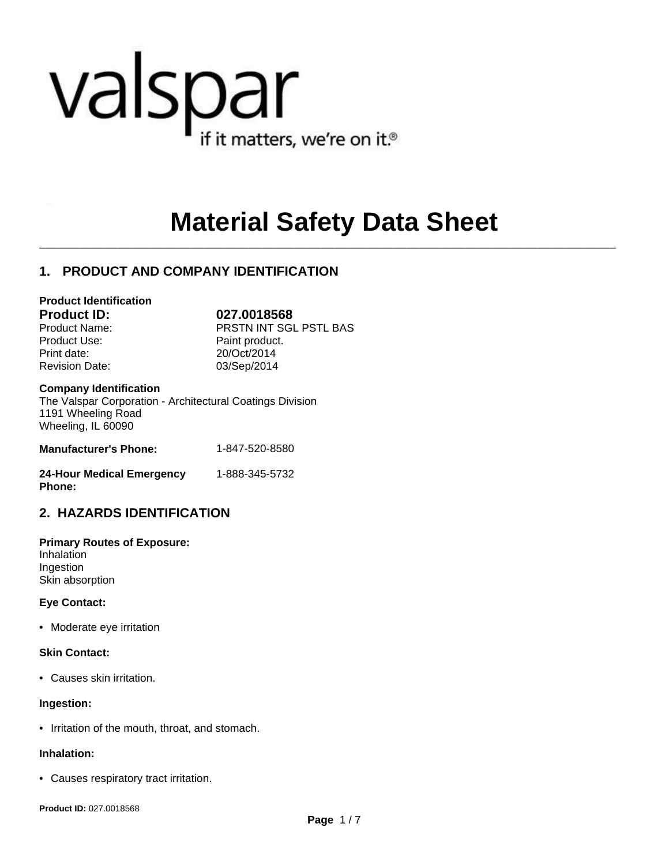# valspar if it matters, we're on it.<sup>®</sup>

# **Material Safety Data Sheet**

 $\mathcal{L}_\mathcal{L} = \mathcal{L}_\mathcal{L}$ 

# **1. PRODUCT AND COMPANY IDENTIFICATION**

#### **Product Identification**

Product Use: Product Paint product.

**Product ID: 027.0018568** Product Name: PRSTN INT SGL PSTL BAS Print date: 20/Oct/2014 Revision Date: 03/Sep/2014

#### **Company Identification**

The Valspar Corporation - Architectural Coatings Division 1191 Wheeling Road Wheeling, IL 60090

| <b>Manufacturer's Phone:</b> | 1-847-520-8580 |
|------------------------------|----------------|
| 24-Hour Medical Emergency    | 1-888-345-5732 |

# **Phone:**

**2. HAZARDS IDENTIFICATION**

# **Primary Routes of Exposure:**

Inhalation Ingestion Skin absorption

#### **Eye Contact:**

• Moderate eye irritation

#### **Skin Contact:**

• Causes skin irritation.

#### **Ingestion:**

• Irritation of the mouth, throat, and stomach.

#### **Inhalation:**

• Causes respiratory tract irritation.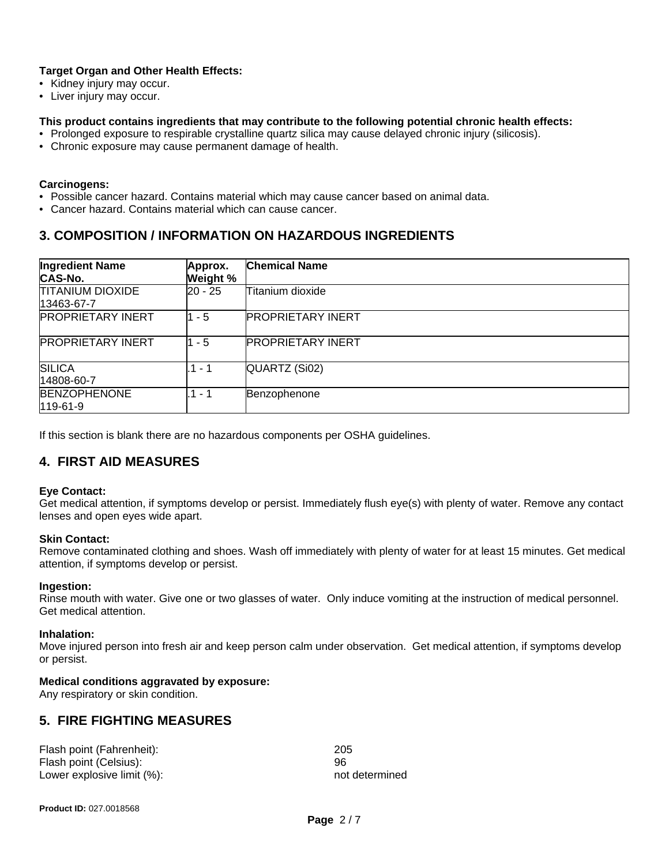### **Target Organ and Other Health Effects:**

- Kidney injury may occur.
- Liver injury may occur.

#### **This product contains ingredients that may contribute to the following potential chronic health effects:**

- Prolonged exposure to respirable crystalline quartz silica may cause delayed chronic injury (silicosis).
- Chronic exposure may cause permanent damage of health.

#### **Carcinogens:**

- Possible cancer hazard. Contains material which may cause cancer based on animal data.
- Cancer hazard. Contains material which can cause cancer.

# **3. COMPOSITION / INFORMATION ON HAZARDOUS INGREDIENTS**

| <b>Ingredient Name</b><br><b>CAS-No.</b> | Approx.<br>Weight % | <b>Chemical Name</b>     |
|------------------------------------------|---------------------|--------------------------|
| <b>TITANIUM DIOXIDE</b><br>13463-67-7    | $20 - 25$           | Titanium dioxide         |
| <b>PROPRIETARY INERT</b>                 | $1 - 5$             | <b>PROPRIETARY INERT</b> |
| <b>PROPRIETARY INERT</b>                 | 11 - 5              | <b>PROPRIETARY INERT</b> |
| <b>SILICA</b><br>14808-60-7              | $.1 - 1$            | QUARTZ (Si02)            |
| <b>BENZOPHENONE</b><br>119-61-9          | $.1 - 1$            | Benzophenone             |

If this section is blank there are no hazardous components per OSHA guidelines.

# **4. FIRST AID MEASURES**

#### **Eye Contact:**

Get medical attention, if symptoms develop or persist. Immediately flush eye(s) with plenty of water. Remove any contact lenses and open eyes wide apart.

#### **Skin Contact:**

Remove contaminated clothing and shoes. Wash off immediately with plenty of water for at least 15 minutes. Get medical attention, if symptoms develop or persist.

#### **Ingestion:**

Rinse mouth with water. Give one or two glasses of water. Only induce vomiting at the instruction of medical personnel. Get medical attention.

#### **Inhalation:**

Move injured person into fresh air and keep person calm under observation. Get medical attention, if symptoms develop or persist.

#### **Medical conditions aggravated by exposure:**

Any respiratory or skin condition.

# **5. FIRE FIGHTING MEASURES**

| Flash point (Fahrenheit):  | 205            |
|----------------------------|----------------|
| Flash point (Celsius):     | 96             |
| Lower explosive limit (%): | not determined |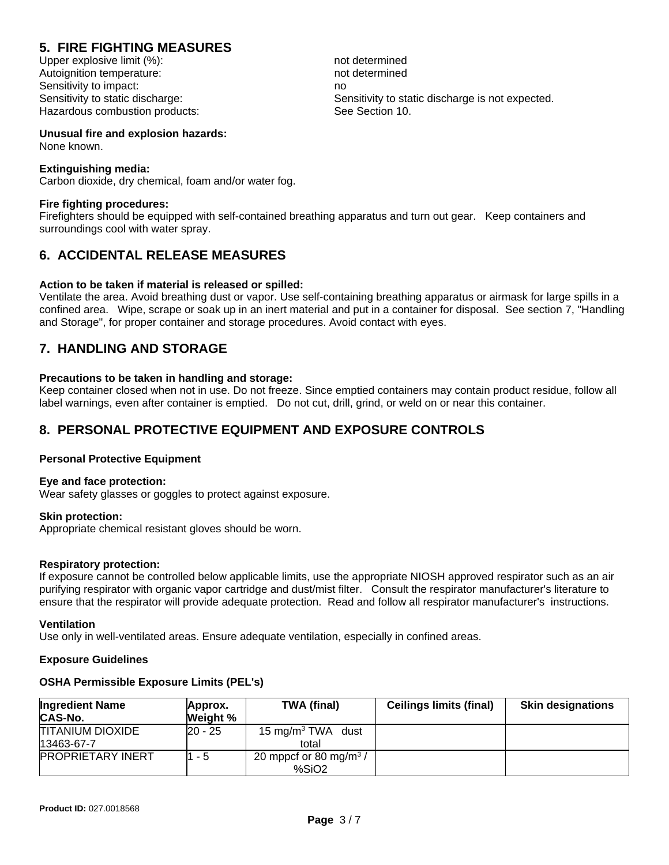# **5. FIRE FIGHTING MEASURES**

Upper explosive limit (%): not determined Autoignition temperature: not determined Sensitivity to impact: no Hazardous combustion products: See Section 10.

Sensitivity to static discharge: Sensitivity to static discharge is not expected.

**Unusual fire and explosion hazards:** None known.

#### **Extinguishing media:**

Carbon dioxide, dry chemical, foam and/or water fog.

#### **Fire fighting procedures:**

Firefighters should be equipped with self-contained breathing apparatus and turn out gear. Keep containers and surroundings cool with water spray.

# **6. ACCIDENTAL RELEASE MEASURES**

#### **Action to be taken if material is released or spilled:**

Ventilate the area. Avoid breathing dust or vapor. Use self-containing breathing apparatus or airmask for large spills in a confined area. Wipe, scrape or soak up in an inert material and put in a container for disposal. See section 7, "Handling and Storage", for proper container and storage procedures. Avoid contact with eyes.

# **7. HANDLING AND STORAGE**

#### **Precautions to be taken in handling and storage:**

Keep container closed when not in use. Do not freeze. Since emptied containers may contain product residue, follow all label warnings, even after container is emptied. Do not cut, drill, grind, or weld on or near this container.

### **8. PERSONAL PROTECTIVE EQUIPMENT AND EXPOSURE CONTROLS**

#### **Personal Protective Equipment**

#### **Eye and face protection:**

Wear safety glasses or goggles to protect against exposure.

#### **Skin protection:**

Appropriate chemical resistant gloves should be worn.

#### **Respiratory protection:**

If exposure cannot be controlled below applicable limits, use the appropriate NIOSH approved respirator such as an air purifying respirator with organic vapor cartridge and dust/mist filter. Consult the respirator manufacturer's literature to ensure that the respirator will provide adequate protection. Read and follow all respirator manufacturer's instructions.

#### **Ventilation**

Use only in well-ventilated areas. Ensure adequate ventilation, especially in confined areas.

#### **Exposure Guidelines**

#### **OSHA Permissible Exposure Limits (PEL's)**

| <b>Ingredient Name</b><br><b>CAS-No.</b> | Approx.<br>Weight % | <b>TWA (final)</b>                                      | <b>Ceilings limits (final)</b> | <b>Skin designations</b> |
|------------------------------------------|---------------------|---------------------------------------------------------|--------------------------------|--------------------------|
| <b>TITANIUM DIOXIDE</b><br>13463-67-7    | 20 - 25             | 15 mg/m <sup>3</sup> TWA dust<br>total                  |                                |                          |
| <b>PROPRIETARY INERT</b>                 | 1 - 5               | 20 mppcf or 80 mg/m <sup>3</sup> /<br>%SiO <sub>2</sub> |                                |                          |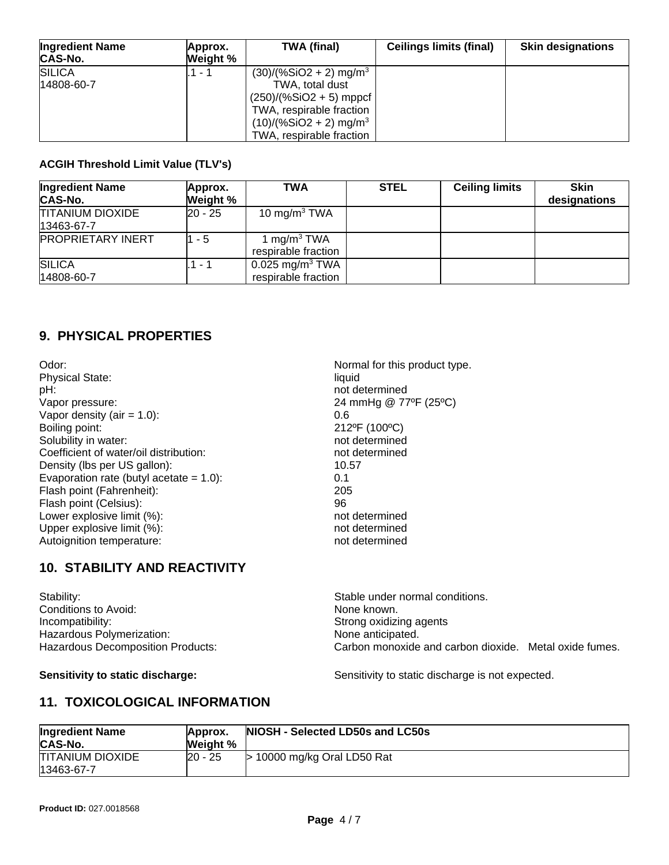| <b>Ingredient Name</b><br><b>CAS-No.</b> | Approx.<br><b>Weight</b> % | TWA (final)                                                                                                                                                                          | <b>Ceilings limits (final)</b> | <b>Skin designations</b> |
|------------------------------------------|----------------------------|--------------------------------------------------------------------------------------------------------------------------------------------------------------------------------------|--------------------------------|--------------------------|
| <b>SILICA</b><br>14808-60-7              | - 1                        | $(30)/(%SiO2 + 2)$ mg/m <sup>3</sup><br>TWA, total dust<br>$(250)/(%SiO2 + 5)$ mppcf<br>TWA, respirable fraction<br>$(10)/(%SiO2 + 2)$ mg/m <sup>3</sup><br>TWA, respirable fraction |                                |                          |

#### **ACGIH Threshold Limit Value (TLV's)**

| <b>Ingredient Name</b><br><b>CAS-No.</b> | Approx.<br>Weight % | <b>TWA</b>                                           | <b>STEL</b> | <b>Ceiling limits</b> | <b>Skin</b><br>designations |
|------------------------------------------|---------------------|------------------------------------------------------|-------------|-----------------------|-----------------------------|
| <b>TITANIUM DIOXIDE</b><br>13463-67-7    | $20 - 25$           | 10 mg/m $3$ TWA                                      |             |                       |                             |
| <b>PROPRIETARY INERT</b>                 | 1 - 5               | 1 mg/m <sup>3</sup> TWA<br>respirable fraction       |             |                       |                             |
| <b>SILICA</b><br>14808-60-7              | 1 - 1               | $0.025$ mg/m <sup>3</sup> TWA<br>respirable fraction |             |                       |                             |

# **9. PHYSICAL PROPERTIES**

Odor:  $\blacksquare$  Normal for this product type. Physical State: liquid pH:<br>
Vapor pressure:<br>
Vapor pressure:<br>
24 mmHg @ 77 Vapor density  $(air = 1.0)$ : 0.6 Boiling point: 212ºF (100ºC)<br>Solubility in water: 2000 and the solubility in water: 212ºF (100°C) Solubility in water: Coefficient of water/oil distribution:<br>
Density (lbs per US gallon): 10.57 Density (lbs per US gallon): Evaporation rate (butyl acetate  $= 1.0$ ): 0.1 Flash point (Fahrenheit): 205 Flash point (Celsius): 96 Lower explosive limit (%): not determined Upper explosive limit (%):<br>
Autoignition temperature:<br>
autoignition temperature:<br>  $\begin{array}{ccc}\n\text{1} & \text{2} & \text{3} \\
\text{2} & \text{4} & \text{5} \\
\text{3} & \text{5} & \text{6}\n\end{array}$ Autoignition temperature:

24 mmHg @ 77°F (25°C)

# **10. STABILITY AND REACTIVITY**

| Stability:                        | Stable under normal conditions.                        |  |
|-----------------------------------|--------------------------------------------------------|--|
| Conditions to Avoid:              | None known.                                            |  |
| Incompatibility:                  | Strong oxidizing agents                                |  |
| Hazardous Polymerization:         | None anticipated.                                      |  |
| Hazardous Decomposition Products: | Carbon monoxide and carbon dioxide. Metal oxide fumes. |  |

**Sensitivity to static discharge:** Sensitivity to static discharge is not expected.

# **11. TOXICOLOGICAL INFORMATION**

| <b>Ingredient Name</b><br>CAS-No.     | Approx.<br><b>Weight %</b> | NIOSH - Selected LD50s and LC50s |
|---------------------------------------|----------------------------|----------------------------------|
| <b>TITANIUM DIOXIDE</b><br>13463-67-7 | l20 - 25                   | 10000 mg/kg Oral LD50 Rat        |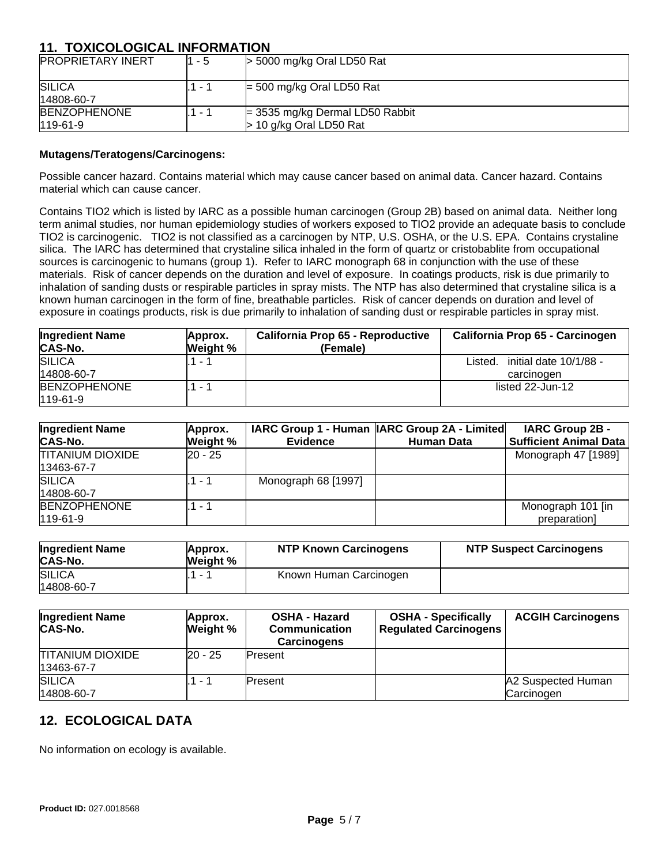# **11. TOXICOLOGICAL INFORMATION**

| <b>PROPRIETARY INERT</b>          | 1 - 5                    | $>$ 5000 mg/kg Oral LD50 Rat                                   |
|-----------------------------------|--------------------------|----------------------------------------------------------------|
| <b>SILICA</b><br>14808-60-7       | . . 1                    | $=$ 500 mg/kg Oral LD50 Rat                                    |
| <b>BENZOPHENONE</b><br>$119-61-9$ | $\overline{\phantom{a}}$ | $=$ 3535 mg/kg Dermal LD50 Rabbit<br>$>$ 10 g/kg Oral LD50 Rat |

#### **Mutagens/Teratogens/Carcinogens:**

Possible cancer hazard. Contains material which may cause cancer based on animal data. Cancer hazard. Contains material which can cause cancer.

Contains TIO2 which is listed by IARC as a possible human carcinogen (Group 2B) based on animal data. Neither long term animal studies, nor human epidemiology studies of workers exposed to TIO2 provide an adequate basis to conclude TIO2 is carcinogenic. TIO2 is not classified as a carcinogen by NTP, U.S. OSHA, or the U.S. EPA. Contains crystaline silica. The IARC has determined that crystaline silica inhaled in the form of quartz or cristobablite from occupational sources is carcinogenic to humans (group 1). Refer to IARC monograph 68 in conjunction with the use of these materials. Risk of cancer depends on the duration and level of exposure. In coatings products, risk is due primarily to inhalation of sanding dusts or respirable particles in spray mists. The NTP has also determined that crystaline silica is a known human carcinogen in the form of fine, breathable particles. Risk of cancer depends on duration and level of exposure in coatings products, risk is due primarily to inhalation of sanding dust or respirable particles in spray mist.

| <b>Ingredient Name</b><br><b>CAS-No.</b> | Approx.<br>Weight % | California Prop 65 - Reproductive<br>(Female) | California Prop 65 - Carcinogen                 |
|------------------------------------------|---------------------|-----------------------------------------------|-------------------------------------------------|
| <b>SILICA</b><br>14808-60-7              | $1 - 1$             |                                               | initial date 10/1/88 -<br>Listed.<br>carcinogen |
| <b>BENZOPHENONE</b><br>$119-61-9$        | $\sim$              |                                               | listed 22-Jun-12                                |

| <b>Ingredient Name</b><br><b>CAS-No.</b> | Approx.<br>Weight % | <b>Evidence</b>     | IARC Group 1 - Human   IARC Group 2A - Limited <br><b>Human Data</b> | <b>IARC Group 2B -</b><br><b>Sufficient Animal Data</b> |
|------------------------------------------|---------------------|---------------------|----------------------------------------------------------------------|---------------------------------------------------------|
| <b>TITANIUM DIOXIDE</b><br>13463-67-7    | 20 - 25             |                     |                                                                      | Monograph 47 [1989]                                     |
| <b>SILICA</b><br>14808-60-7              | 1 - 1               | Monograph 68 [1997] |                                                                      |                                                         |
| <b>BENZOPHENONE</b><br>$119-61-9$        | 1 - 1               |                     |                                                                      | Monograph 101 [in<br>preparation]                       |

| <b>Ingredient Name</b><br>CAS-No. | Approx.<br>Weight % | <b>NTP Known Carcinogens</b> | <b>NTP Suspect Carcinogens</b> |
|-----------------------------------|---------------------|------------------------------|--------------------------------|
| <b>SILICA</b><br>14808-60-7       |                     | Known Human Carcinogen       |                                |

| <b>Ingredient Name</b><br>CAS-No.     | Approx.<br>Weight % | <b>OSHA - Hazard</b><br><b>Communication</b><br><b>Carcinogens</b> | <b>OSHA - Specifically</b><br><b>Regulated Carcinogens</b> | <b>ACGIH Carcinogens</b>         |
|---------------------------------------|---------------------|--------------------------------------------------------------------|------------------------------------------------------------|----------------------------------|
| <b>TITANIUM DIOXIDE</b><br>13463-67-7 | 20 - 25             | lPresent                                                           |                                                            |                                  |
| <b>SILICA</b><br>14808-60-7           |                     | Present                                                            |                                                            | A2 Suspected Human<br>Carcinogen |

# **12. ECOLOGICAL DATA**

No information on ecology is available.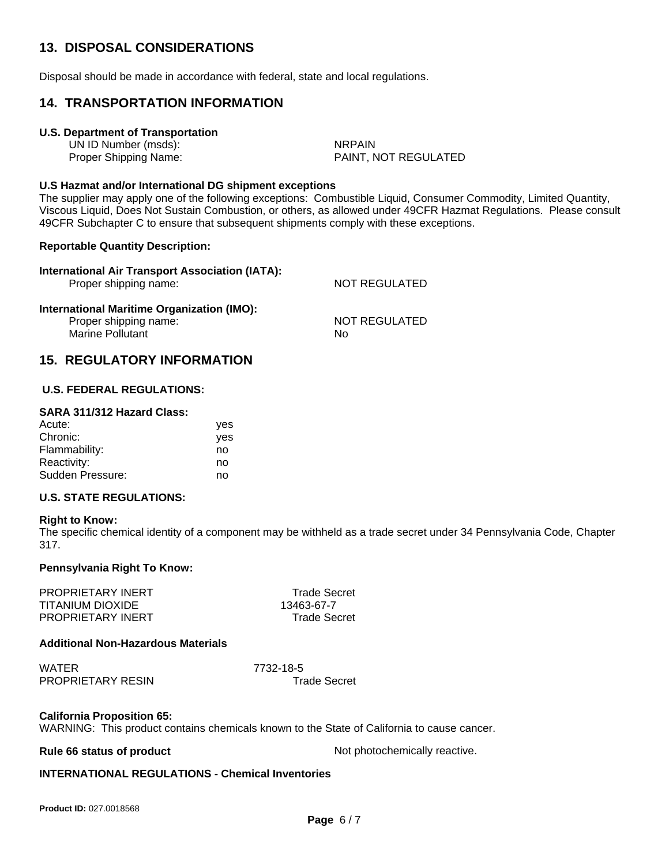# **13. DISPOSAL CONSIDERATIONS**

Disposal should be made in accordance with federal, state and local regulations.

### **14. TRANSPORTATION INFORMATION**

#### **U.S. Department of Transportation**

UN ID Number (msds): NRPAIN

Proper Shipping Name: PAINT, NOT REGULATED

#### **U.S Hazmat and/or International DG shipment exceptions**

The supplier may apply one of the following exceptions: Combustible Liquid, Consumer Commodity, Limited Quantity, Viscous Liquid, Does Not Sustain Combustion, or others, as allowed under 49CFR Hazmat Regulations. Please consult 49CFR Subchapter C to ensure that subsequent shipments comply with these exceptions.

#### **Reportable Quantity Description:**

| International Air Transport Association (IATA):<br>Proper shipping name:                       | <b>NOT REGULATED</b>       |
|------------------------------------------------------------------------------------------------|----------------------------|
| International Maritime Organization (IMO):<br>Proper shipping name:<br><b>Marine Pollutant</b> | <b>NOT REGULATED</b><br>No |

# **15. REGULATORY INFORMATION**

#### **U.S. FEDERAL REGULATIONS:**

#### **SARA 311/312 Hazard Class:**

| Acute:           | yes |
|------------------|-----|
| Chronic:         | yes |
| Flammability:    | no  |
| Reactivity:      | no  |
| Sudden Pressure: | no  |
|                  |     |

#### **U.S. STATE REGULATIONS:**

#### **Right to Know:**

The specific chemical identity of a component may be withheld as a trade secret under 34 Pennsylvania Code, Chapter 317.

#### **Pennsylvania Right To Know:**

PROPRIETARY INERT TRADE Trade Secret TITANIUM DIOXIDE 13463-67-7 PROPRIETARY INERT TRIDE Trade Secret

#### **Additional Non-Hazardous Materials**

WATER 7732-18-5 PROPRIETARY RESIN Trade Secret

# **California Proposition 65:**

WARNING: This product contains chemicals known to the State of California to cause cancer.

**Rule 66 status of product Not photochemically reactive.** 

#### **INTERNATIONAL REGULATIONS - Chemical Inventories**